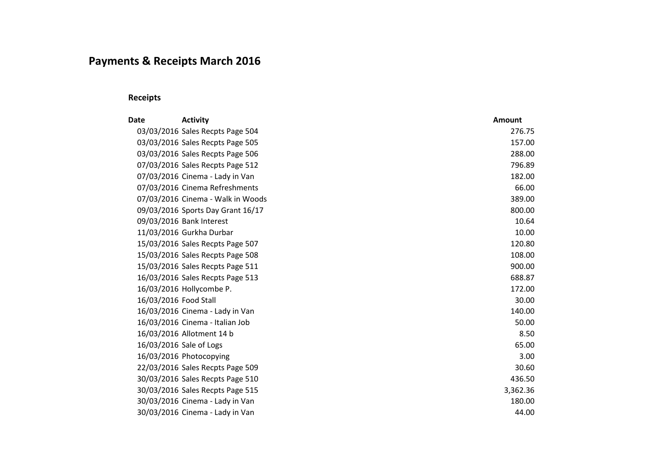# **Payments & Receipts March 2016**

## **Receipts**

| <b>Date</b>             | <b>Activity</b>                   | <b>Amount</b> |
|-------------------------|-----------------------------------|---------------|
|                         | 03/03/2016 Sales Recpts Page 504  | 276.75        |
|                         | 03/03/2016 Sales Recpts Page 505  | 157.00        |
|                         | 03/03/2016 Sales Recpts Page 506  | 288.00        |
|                         | 07/03/2016 Sales Recpts Page 512  | 796.89        |
|                         | 07/03/2016 Cinema - Lady in Van   | 182.00        |
|                         | 07/03/2016 Cinema Refreshments    | 66.00         |
|                         | 07/03/2016 Cinema - Walk in Woods | 389.00        |
|                         | 09/03/2016 Sports Day Grant 16/17 | 800.00        |
|                         | 09/03/2016 Bank Interest          | 10.64         |
|                         | 11/03/2016 Gurkha Durbar          | 10.00         |
|                         | 15/03/2016 Sales Recpts Page 507  | 120.80        |
|                         | 15/03/2016 Sales Recpts Page 508  | 108.00        |
|                         | 15/03/2016 Sales Recpts Page 511  | 900.00        |
|                         | 16/03/2016 Sales Recpts Page 513  | 688.87        |
|                         | 16/03/2016 Hollycombe P.          | 172.00        |
| 16/03/2016 Food Stall   |                                   | 30.00         |
|                         | 16/03/2016 Cinema - Lady in Van   | 140.00        |
|                         | 16/03/2016 Cinema - Italian Job   | 50.00         |
|                         | 16/03/2016 Allotment 14 b         | 8.50          |
| 16/03/2016 Sale of Logs |                                   | 65.00         |
|                         | 16/03/2016 Photocopying           | 3.00          |
|                         | 22/03/2016 Sales Recpts Page 509  | 30.60         |
|                         | 30/03/2016 Sales Recpts Page 510  | 436.50        |
|                         | 30/03/2016 Sales Recpts Page 515  | 3,362.36      |
|                         | 30/03/2016 Cinema - Lady in Van   | 180.00        |
|                         | 30/03/2016 Cinema - Lady in Van   | 44.00         |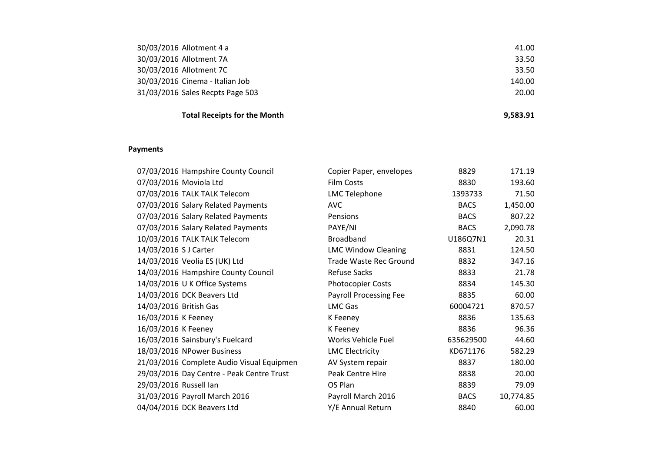| 30/03/2016 Allotment 4 a         | 41.00  |
|----------------------------------|--------|
| 30/03/2016 Allotment 7A          | 33.50  |
| 30/03/2016 Allotment 7C          | 33.50  |
| 30/03/2016 Cinema - Italian Job  | 140.00 |
| 31/03/2016 Sales Recpts Page 503 | 20.00  |
|                                  |        |

## **Total Receipts for the Month 9,583.91**

#### **Payments**

| 07/03/2016 Hampshire County Council       | Copier Paper, envelopes    | 8829        | 171.19    |
|-------------------------------------------|----------------------------|-------------|-----------|
| 07/03/2016 Moviola Ltd                    | <b>Film Costs</b>          | 8830        | 193.60    |
| 07/03/2016 TALK TALK Telecom              | <b>LMC Telephone</b>       | 1393733     | 71.50     |
| 07/03/2016 Salary Related Payments        | <b>AVC</b>                 | <b>BACS</b> | 1,450.00  |
| 07/03/2016 Salary Related Payments        | Pensions                   | <b>BACS</b> | 807.22    |
| 07/03/2016 Salary Related Payments        | PAYE/NI                    | <b>BACS</b> | 2,090.78  |
| 10/03/2016 TALK TALK Telecom              | <b>Broadband</b>           | U186Q7N1    | 20.31     |
| 14/03/2016 SJ Carter                      | <b>LMC Window Cleaning</b> | 8831        | 124.50    |
| 14/03/2016 Veolia ES (UK) Ltd             | Trade Waste Rec Ground     | 8832        | 347.16    |
| 14/03/2016 Hampshire County Council       | <b>Refuse Sacks</b>        | 8833        | 21.78     |
| 14/03/2016 U K Office Systems             | <b>Photocopier Costs</b>   | 8834        | 145.30    |
| 14/03/2016 DCK Beavers Ltd                | Payroll Processing Fee     | 8835        | 60.00     |
| 14/03/2016 British Gas                    | <b>LMC Gas</b>             | 60004721    | 870.57    |
| 16/03/2016 K Feeney                       | K Feeney                   | 8836        | 135.63    |
| 16/03/2016 K Feeney                       | K Feeney                   | 8836        | 96.36     |
| 16/03/2016 Sainsbury's Fuelcard           | Works Vehicle Fuel         | 635629500   | 44.60     |
| 18/03/2016 NPower Business                | <b>LMC Electricity</b>     | KD671176    | 582.29    |
| 21/03/2016 Complete Audio Visual Equipmen | AV System repair           | 8837        | 180.00    |
| 29/03/2016 Day Centre - Peak Centre Trust | Peak Centre Hire           | 8838        | 20.00     |
| 29/03/2016 Russell Ian                    | OS Plan                    | 8839        | 79.09     |
| 31/03/2016 Payroll March 2016             | Payroll March 2016         | <b>BACS</b> | 10,774.85 |
| 04/04/2016 DCK Beavers Ltd                | Y/E Annual Return          | 8840        | 60.00     |